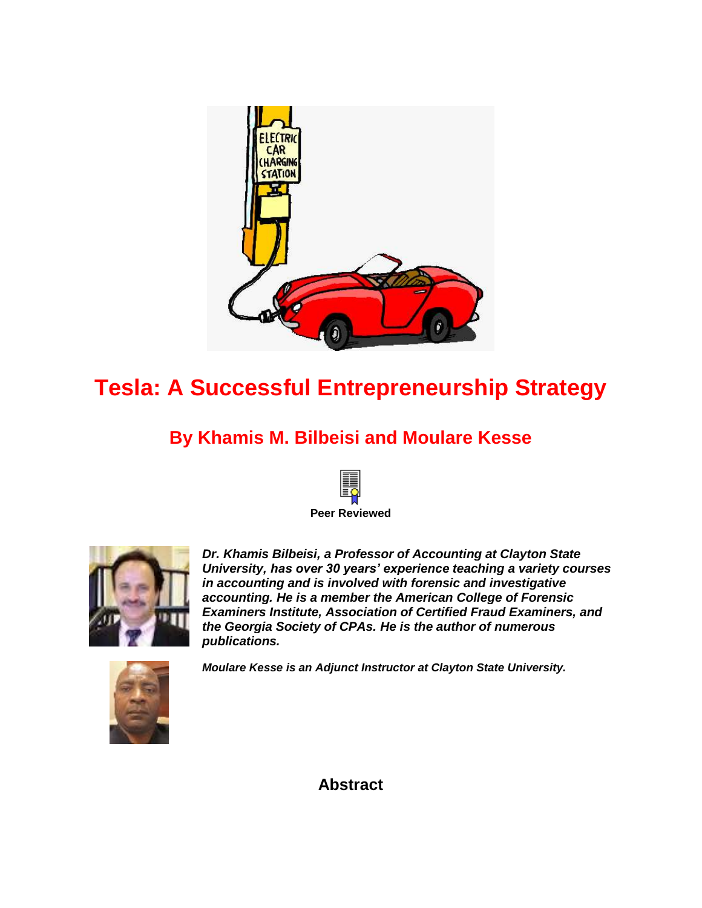

# **Tesla: A Successful Entrepreneurship Strategy**

## **By Khamis M. Bilbeisi and Moulare Kesse**





*Dr. Khamis Bilbeisi, a Professor of Accounting at Clayton State University, has over 30 years' experience teaching a variety courses in accounting and is involved with forensic and investigative accounting. He is a member the American College of Forensic Examiners Institute, Association of Certified Fraud Examiners, and the Georgia Society of CPAs. He is the author of numerous publications.*



*Moulare Kesse is an Adjunct Instructor at Clayton State University.*

**Abstract**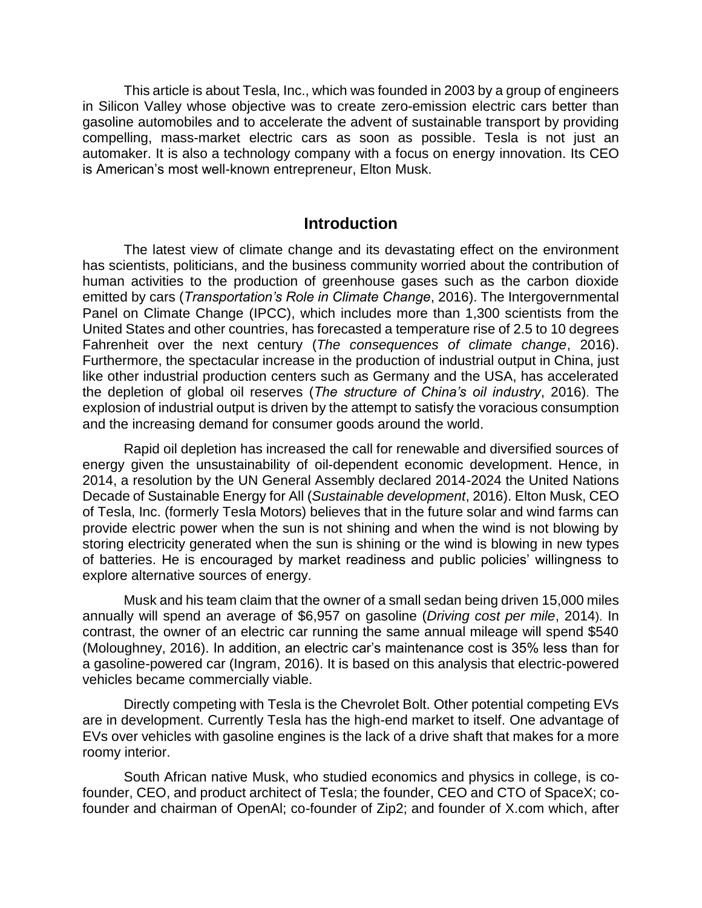This article is about Tesla, Inc., which was founded in 2003 by a group of engineers in Silicon Valley whose objective was to create zero-emission electric cars better than gasoline automobiles and to accelerate the advent of sustainable transport by providing compelling, mass-market electric cars as soon as possible. Tesla is not just an automaker. It is also a technology company with a focus on energy innovation. Its CEO is American's most well-known entrepreneur, Elton Musk.

#### **Introduction**

The latest view of climate change and its devastating effect on the environment has scientists, politicians, and the business community worried about the contribution of human activities to the production of greenhouse gases such as the carbon dioxide emitted by cars (*Transportation's Role in Climate Change*, 2016). The Intergovernmental Panel on Climate Change (IPCC), which includes more than 1,300 scientists from the United States and other countries, has forecasted a temperature rise of 2.5 to 10 degrees Fahrenheit over the next century (*The consequences of climate change*, 2016). Furthermore, the spectacular increase in the production of industrial output in China, just like other industrial production centers such as Germany and the USA, has accelerated the depletion of global oil reserves (*The structure of China's oil industry*, 2016). The explosion of industrial output is driven by the attempt to satisfy the voracious consumption and the increasing demand for consumer goods around the world.

Rapid oil depletion has increased the call for renewable and diversified sources of energy given the unsustainability of oil-dependent economic development. Hence, in 2014, a resolution by the UN General Assembly declared 2014-2024 the [United Nations](http://www.se4all.org/decade)  [Decade of Sustainable Energy for All](http://www.se4all.org/decade) (*Sustainable development*, 2016). Elton Musk, CEO of Tesla, Inc. (formerly Tesla Motors) believes that in the future solar and wind farms can provide electric power when the sun is not shining and when the wind is not blowing by storing electricity generated when the sun is shining or the wind is blowing in new types of batteries. He is encouraged by market readiness and public policies' willingness to explore alternative sources of energy.

Musk and his team claim that the owner of a small sedan being driven 15,000 miles annually will spend an average of \$6,957 on gasoline (*Driving cost per mile*, 2014). In contrast, the owner of an electric car running the same annual mileage will spend \$540 (Moloughney, 2016). In addition, an electric car's maintenance cost is 35% less than for a gasoline-powered car (Ingram, 2016). It is based on this analysis that electric-powered vehicles became commercially viable.

Directly competing with Tesla is the Chevrolet Bolt. Other potential competing EVs are in development. Currently Tesla has the high-end market to itself. One advantage of EVs over vehicles with gasoline engines is the lack of a drive shaft that makes for a more roomy interior.

South African native Musk, who studied economics and physics in college, is cofounder, CEO, and product architect of Tesla; the founder, CEO and CTO of SpaceX; cofounder and chairman of OpenAl; co-founder of Zip2; and founder of X.com which, after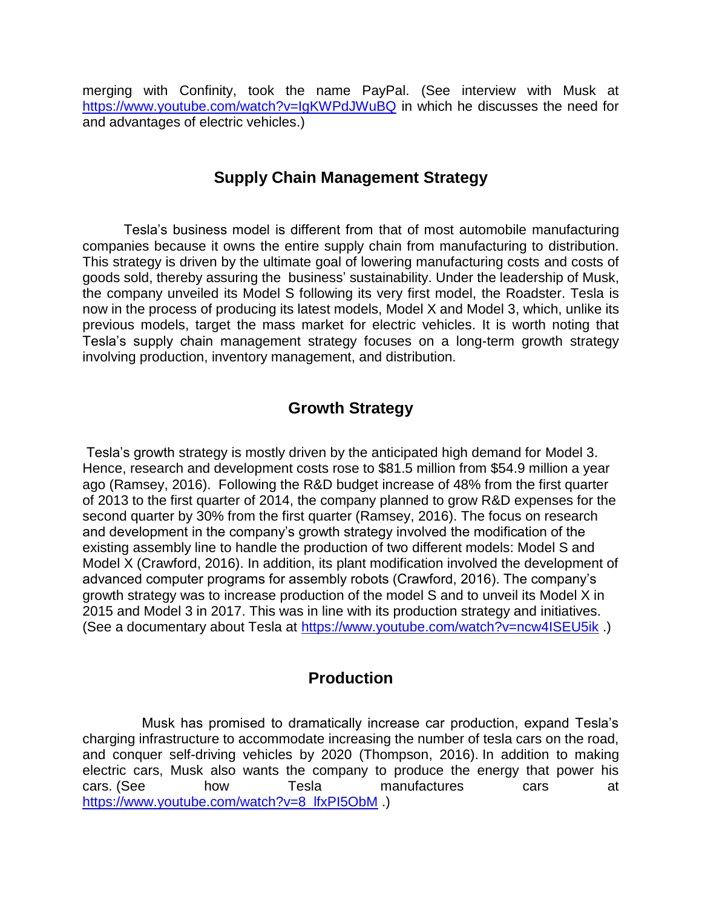merging with Confinity, took the name PayPal. (See interview with Musk at <https://www.youtube.com/watch?v=IgKWPdJWuBQ> in which he discusses the need for and advantages of electric vehicles.)

## **Supply Chain Management Strategy**

Tesla's business model is different from that of most automobile manufacturing companies because it owns the entire supply chain from manufacturing to distribution. This strategy is driven by the ultimate goal of lowering manufacturing costs and costs of goods sold, thereby assuring the business' sustainability. Under the leadership of Musk, the company unveiled its Model S following its very first model, the Roadster. Tesla is now in the process of producing its latest models, Model X and Model 3, which, unlike its previous models, target the mass market for electric vehicles. It is worth noting that Tesla's supply chain management strategy focuses on a long-term growth strategy involving production, inventory management, and distribution.

## **Growth Strategy**

Tesla's growth strategy is mostly driven by the anticipated high demand for Model 3. Hence, research and development costs rose to \$81.5 million from \$54.9 million a year ago (Ramsey, 2016). Following the R&D budget increase of 48% from the first quarter of 2013 to the first quarter of 2014, the company planned to grow R&D expenses for the second quarter by 30% from the first quarter (Ramsey, 2016). The focus on research and development in the company's growth strategy involved the modification of the existing assembly line to handle the production of two different models: Model S and Model X (Crawford, 2016). In addition, its plant modification involved the development of advanced computer programs for assembly robots (Crawford, 2016). The company's growth strategy was to increase production of the model S and to unveil its Model X in 2015 and Model 3 in 2017. This was in line with its production strategy and initiatives. (See a documentary about Tesla at<https://www.youtube.com/watch?v=ncw4ISEU5ik> .)

## **Production**

Musk has promised to dramatically increase car production, expand Tesla's charging infrastructure to accommodate increasing the number of tesla cars on the road, and conquer self-driving vehicles by 2020 [\(Thompson,](http://www.businessinsider.com/author/cadie-thompson) 2016). In addition to making electric cars, Musk also wants the company to produce the energy that power his cars. (See how Tesla manufactures cars at [https://www.youtube.com/watch?v=8\\_lfxPI5ObM](https://www.youtube.com/watch?v=8_lfxPI5ObM) .)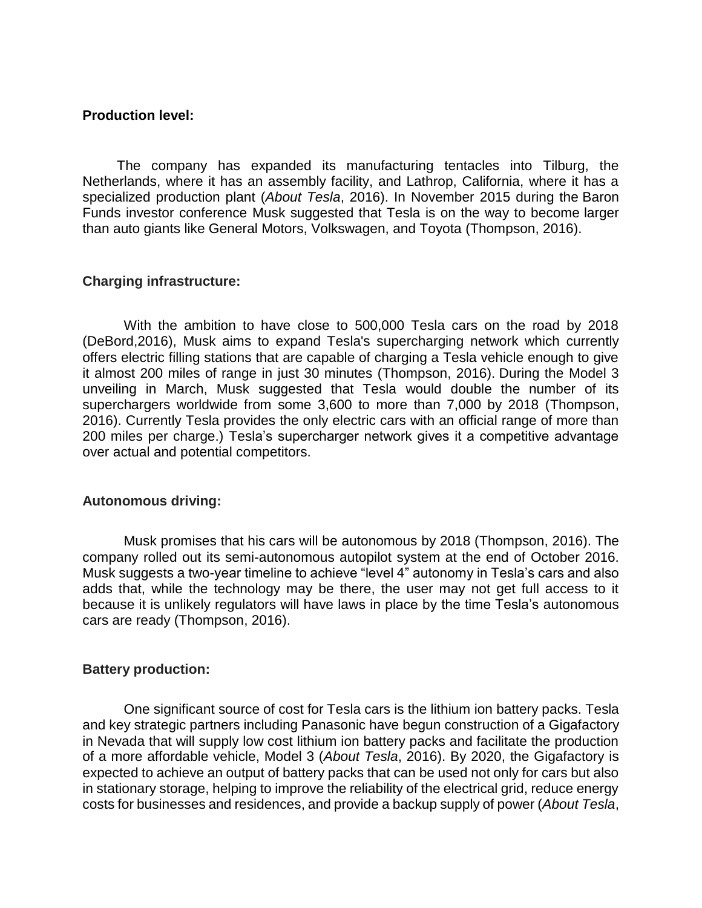#### **Production level:**

 The company has expanded its manufacturing tentacles into Tilburg, the Netherlands, where it has an assembly facility, and Lathrop, California, where it has a specialized production plant (*About Tesla*, 2016). In November 2015 during the [Baron](https://www.youtube.com/watch?v=sTIH6ncIXYc)  [Funds investor conference](https://www.youtube.com/watch?v=sTIH6ncIXYc) Musk suggested that Tesla is on the way to become [larger](http://www.techinsider.io/elon-musk-tesla-could-become-bigger-than-gm-2015-11)  [than auto giants like General Motors, Volkswagen, and Toyota \(Thompson, 2016\).](http://www.techinsider.io/elon-musk-tesla-could-become-bigger-than-gm-2015-11)

#### **Charging infrastructure:**

With the ambition to have close to 500,000 Tesla cars on the road by 2018 (DeBord,2016), Musk aims to expand Tesla's supercharging network which currently offers electric filling stations that are capable of charging a Tesla vehicle enough to give it almost 200 miles of range in just 30 minutes [\(Thompson,](http://www.businessinsider.com/author/cadie-thompson) 2016). During the Model 3 unveiling in March, Musk suggested that Tesla would double the number of its superchargers worldwide from some 3,600 to more than 7,000 by 2018 [\(Thompson,](http://www.businessinsider.com/author/cadie-thompson) 2016). Currently Tesla provides the only electric cars with an official range of more than 200 miles per charge.) Tesla's supercharger network gives it a competitive advantage over actual and potential competitors.

#### **Autonomous driving:**

Musk promises that his [cars will be autonomous by 2018 \(Thompson, 2016\).](http://www.techinsider.io/elon-musk-on-teslas-autonomous-cars-2015-9) The company rolled out its semi-autonomous autopilot system at the end of October 2016. Musk suggests a two-year timeline to achieve "level 4" autonomy in Tesla's cars and also adds that, while the technology may be there, the user may not get full access to it because it is unlikely regulators will have laws in place by the time Tesla's autonomous cars are ready [\(Thompson,](http://www.businessinsider.com/author/cadie-thompson) 2016).

#### **Battery production:**

One significant source of cost for Tesla cars is the lithium ion battery packs. Tesla and key strategic partners including Panasonic have begun construction of a Gigafactory in Nevada that will supply low cost lithium ion battery packs and facilitate the production of a more affordable vehicle, Model 3 (*About Tesla*, 2016). By 2020, the Gigafactory is expected to achieve an output of battery packs that can be used not only for cars but also in stationary storage, helping to improve the reliability of the electrical grid, reduce energy costs for businesses and residences, and provide a backup supply of power (*About Tesla*,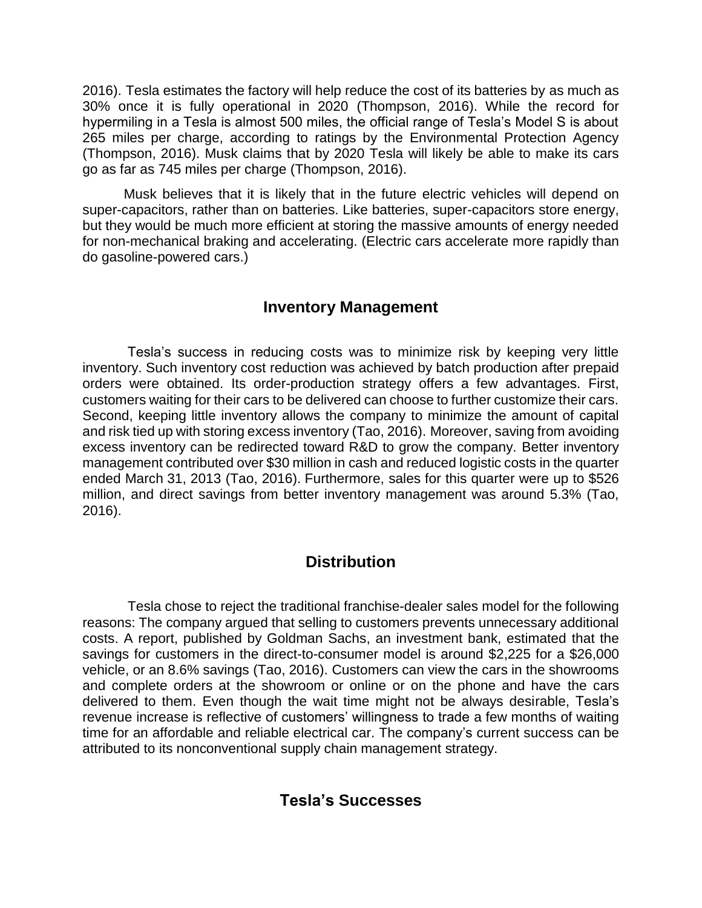2016). Tesla estimates the factory will help reduce the cost of its batteries by [as much as](http://www.techinsider.io/facts-about-the-tesla-gigafactory-2015-11)  [30% once it is fully operational in 2020](http://www.techinsider.io/facts-about-the-tesla-gigafactory-2015-11) [\(Thompson,](http://www.businessinsider.com/author/cadie-thompson) 2016). While the record for hypermiling in a Tesla is almost 500 miles, the official range of Tesla's Model S is about 265 miles per charge, according to ratings by the Environmental Protection Agency [\(Thompson,](http://www.businessinsider.com/author/cadie-thompson) 2016). Musk claims that by 2020 Tesla will likely be able to make its cars go [as far as 745 miles per charge \(Thompson, 2016\).](http://www.techinsider.io/elon-musk-says-tesla-car-range-will-increase-2015-9)

Musk believes that it is likely that in the future electric vehicles will depend on super-capacitors, rather than on batteries. Like batteries, super-capacitors store energy, but they would be much more efficient at storing the massive amounts of energy needed for non-mechanical braking and accelerating. (Electric cars accelerate more rapidly than do gasoline-powered cars.)

## **Inventory Management**

Tesla's success in reducing costs was to minimize risk by keeping very little inventory. Such inventory cost reduction was achieved by batch production after prepaid orders were obtained. Its order-production strategy offers a few advantages. First, customers waiting for their cars to be delivered can choose to further customize their cars. Second, keeping little inventory allows the company to minimize the amount of capital and risk tied up with storing excess inventory (Tao, 2016). Moreover, saving from avoiding excess inventory can be redirected toward R&D to grow the company. Better inventory management contributed over \$30 million in cash and reduced logistic costs in the quarter ended March 31, 2013 (Tao, 2016). Furthermore, sales for this quarter were up to \$526 million, and direct savings from better inventory management was around 5.3% (Tao, 2016).

## **Distribution**

Tesla chose to reject the traditional franchise-dealer sales model for the following reasons: The company argued that selling to customers prevents unnecessary additional costs. A report, published by Goldman Sachs, an investment bank, estimated that the savings for customers in the direct-to-consumer model is around \$2,225 for a \$26,000 vehicle, or an 8.6% savings (Tao, 2016). Customers can view the cars in the showrooms and complete orders at the showroom or online or on the phone and have the cars delivered to them. Even though the wait time might not be always desirable, Tesla's revenue increase is reflective of customers' willingness to trade a few months of waiting time for an affordable and reliable electrical car. The company's current success can be attributed to its nonconventional supply chain management strategy.

## **Tesla's Successes**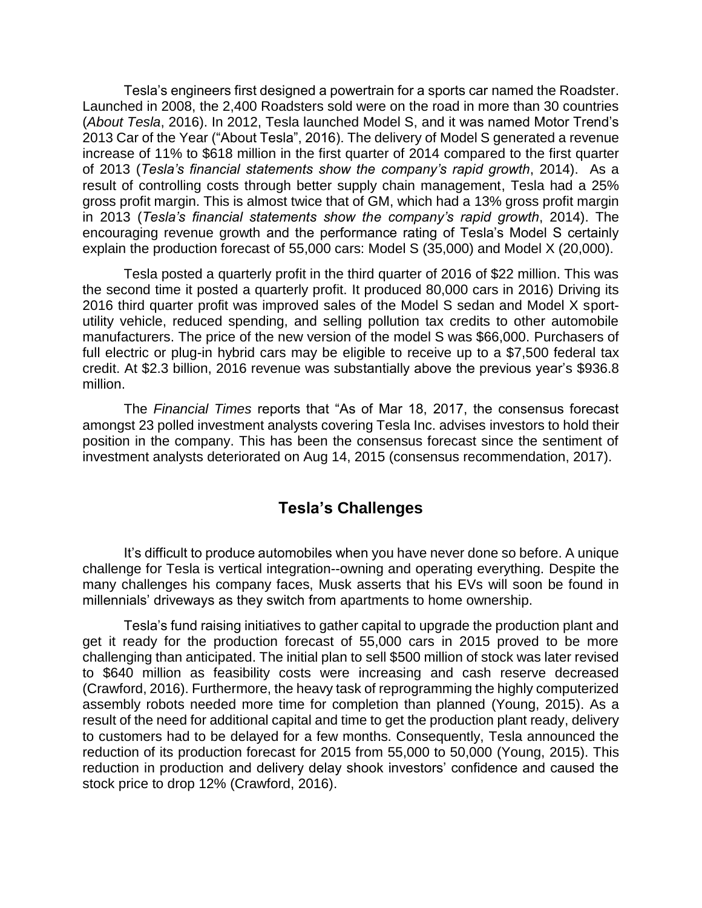Tesla's engineers first designed a powertrain for a sports car named the Roadster. Launched in 2008, the 2,400 Roadsters sold were on the road in more than 30 countries (*About Tesla*, 2016). In 2012, Tesla launched Model S, and it was named Motor Trend's 2013 Car of the Year ("About Tesla", 2016). The delivery of Model S generated a revenue increase of 11% to \$618 million in the first quarter of 2014 compared to the first quarter of 2013 (*Tesla's financial statements show the company's rapid growth*, 2014). As a result of controlling costs through better supply chain management, Tesla had a 25% gross profit margin. This is almost twice that of GM, which had a 13% gross profit margin in 2013 (*Tesla's financial statements show the company's rapid growth*, 2014). The encouraging revenue growth and the performance rating of Tesla's Model S certainly explain the production forecast of 55,000 cars: Model S (35,000) and Model X (20,000).

Tesla posted a quarterly profit in the third quarter of 2016 of \$22 million. This was the second time it posted a quarterly profit. It produced 80,000 cars in 2016) Driving its 2016 third quarter profit was improved sales of the Model S sedan and Model X sportutility vehicle, reduced spending, and selling pollution tax credits to other automobile manufacturers. The price of the new version of the model S was \$66,000. Purchasers of full electric or plug-in hybrid cars may be eligible to receive up to a \$7,500 federal tax credit. At \$2.3 billion, 2016 revenue was substantially above the previous year's \$936.8 million.

The *Financial Times* reports that "As of Mar 18, 2017, the consensus forecast amongst 23 polled investment analysts covering Tesla Inc. advises investors to hold their position in the company. This has been the consensus forecast since the sentiment of investment analysts deteriorated on Aug 14, 2015 (consensus recommendation, 2017).

### **Tesla's Challenges**

It's difficult to produce automobiles when you have never done so before. A unique challenge for Tesla is vertical integration--owning and operating everything. Despite the many challenges his company faces, Musk asserts that his EVs will soon be found in millennials' driveways as they switch from apartments to home ownership.

Tesla's fund raising initiatives to gather capital to upgrade the production plant and get it ready for the production forecast of 55,000 cars in 2015 proved to be more challenging than anticipated. The initial plan to sell \$500 million of stock was later revised to \$640 million as feasibility costs were increasing and cash reserve decreased (Crawford, 2016). Furthermore, the heavy task of reprogramming the highly computerized assembly robots needed more time for completion than planned (Young, 2015). As a result of the need for additional capital and time to get the production plant ready, delivery to customers had to be delayed for a few months. Consequently, Tesla announced the reduction of its production forecast for 2015 from 55,000 to 50,000 (Young, 2015). This reduction in production and delivery delay shook investors' confidence and caused the stock price to drop 12% (Crawford, 2016).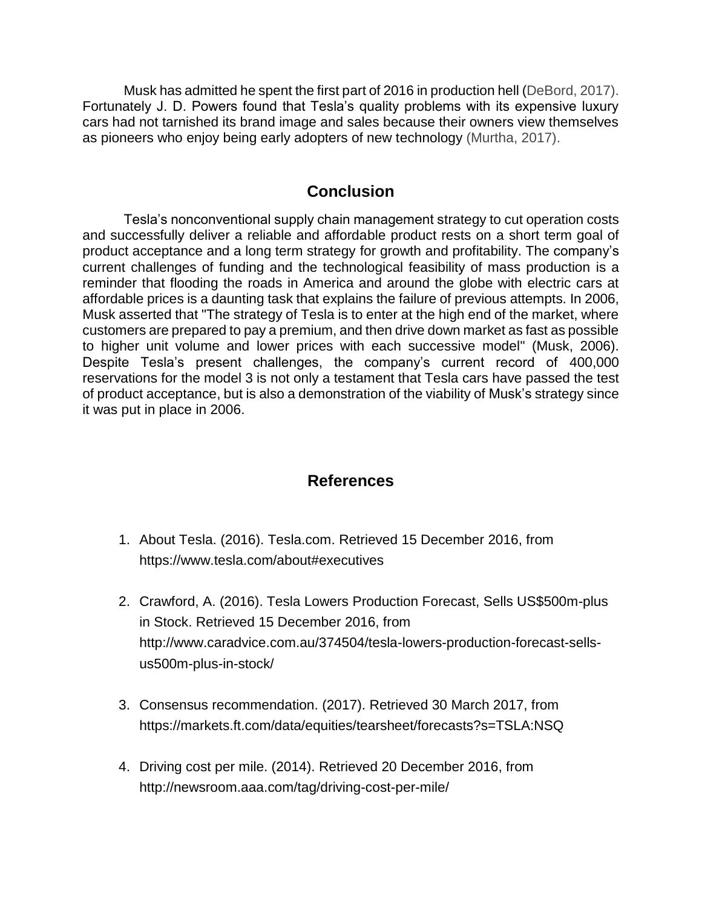Musk has admitted he spent the first part of 2016 in production hell (DeBord, 2017). Fortunately J. D. Powers found that Tesla's quality problems with its expensive luxury cars had not tarnished its brand image and sales because their owners view themselves as pioneers who enjoy being early adopters of new technology (Murtha, 2017).

## **Conclusion**

Tesla's nonconventional supply chain management strategy to cut operation costs and successfully deliver a reliable and affordable product rests on a short term goal of product acceptance and a long term strategy for growth and profitability. The company's current challenges of funding and the technological feasibility of mass production is a reminder that flooding the roads in America and around the globe with electric cars at affordable prices is a daunting task that explains the failure of previous attempts. In 2006, Musk asserted that "The strategy of Tesla is to enter at the high end of the market, where customers are prepared to pay a premium, and then drive down market as fast as possible to higher unit volume and lower prices with each successive model" (Musk, 2006). Despite Tesla's present challenges, the company's current record of 400,000 reservations for the model 3 is not only a testament that Tesla cars have passed the test of product acceptance, but is also a demonstration of the viability of Musk's strategy since it was put in place in 2006.

## **References**

- 1. About Tesla. (2016). Tesla.com. Retrieved 15 December 2016, from https://www.tesla.com/about#executives
- 2. Crawford, A. (2016). Tesla Lowers Production Forecast, Sells US\$500m-plus in Stock. Retrieved 15 December 2016, from http://www.caradvice.com.au/374504/tesla-lowers-production-forecast-sellsus500m-plus-in-stock/
- 3. Consensus recommendation. (2017). Retrieved 30 March 2017, from <https://markets.ft.com/data/equities/tearsheet/forecasts?s=TSLA:NSQ>
- 4. Driving cost per mile. (2014). Retrieved 20 December 2016, from http://newsroom.aaa.com/tag/driving-cost-per-mile/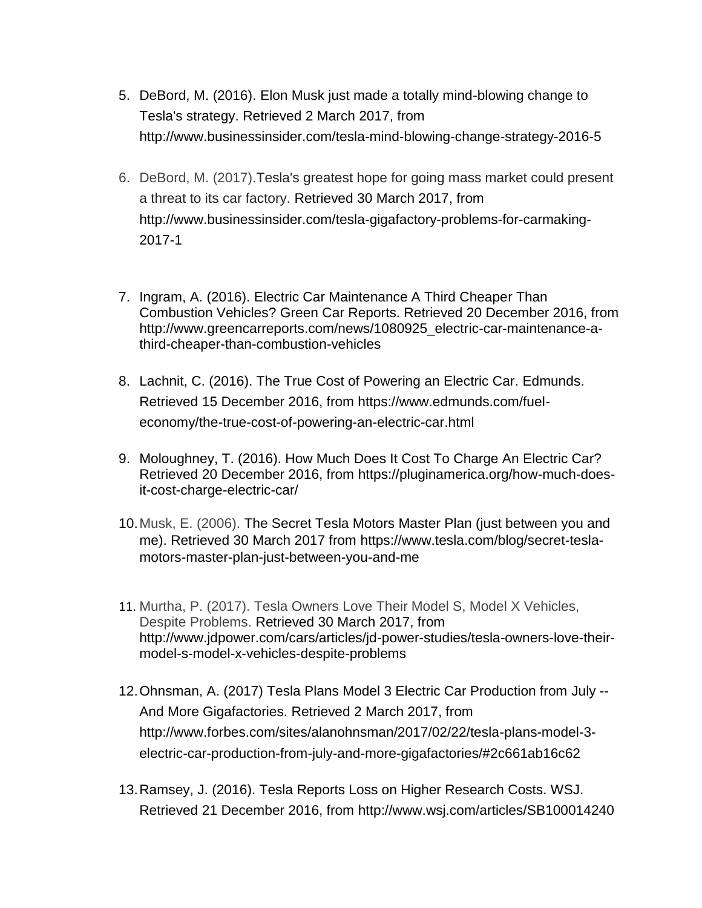- 5. DeBord, M. (2016). Elon Musk just made a totally mind-blowing change to Tesla's strategy. Retrieved 2 March 2017, from http://www.businessinsider.com/tesla-mind-blowing-change-strategy-2016-5
- 6. DeBord, M. (2017).Tesla's greatest hope for going mass market could present a threat to its car factory. Retrieved 30 March 2017, from http://www.businessinsider.com/tesla-gigafactory-problems-for-carmaking-2017-1
- 7. Ingram, A. (2016). Electric Car Maintenance A Third Cheaper Than Combustion Vehicles? Green Car Reports. Retrieved 20 December 2016, from [http://www.greencarreports.com/news/1080925\\_electric-car-maintenance-a](http://www.greencarreports.com/news/1080925_electric-car-maintenance-a-third-cheaper-than-combustion-vehicles)[third-cheaper-than-combustion-vehicles](http://www.greencarreports.com/news/1080925_electric-car-maintenance-a-third-cheaper-than-combustion-vehicles)
- 8. Lachnit, C. (2016). The True Cost of Powering an Electric Car. Edmunds. Retrieved 15 December 2016, from https://www.edmunds.com/fueleconomy/the-true-cost-of-powering-an-electric-car.html
- 9. Moloughney, T. (2016). How Much Does It Cost To Charge An Electric Car? Retrieved 20 December 2016, from https://pluginamerica.org/how-much-doesit-cost-charge-electric-car/
- 10.Musk, E. (2006). The Secret Tesla Motors Master Plan (just between you and me). Retrieved 30 March 2017 from https://www.tesla.com/blog/secret-teslamotors-master-plan-just-between-you-and-me
- 11. Murtha, P. (2017). Tesla Owners Love Their Model S, Model X Vehicles, Despite Problems. Retrieved 30 March 2017, from http://www.jdpower.com/cars/articles/jd-power-studies/tesla-owners-love-theirmodel-s-model-x-vehicles-despite-problems
- 12.Ohnsman, [A. \(2017\) T](http://www.forbes.com/sites/alanohnsman/)esla Plans Model 3 Electric Car Production from July -- And More Gigafactories. Retrieved 2 March 2017, from http://www.forbes.com/sites/alanohnsman/2017/02/22/tesla-plans-model-3 electric-car-production-from-july-and-more-gigafactories/#2c661ab16c62
- 13.Ramsey, J. (2016). Tesla Reports Loss on Higher Research Costs. WSJ. Retrieved 21 December 2016, from http://www.wsj.com/articles/SB100014240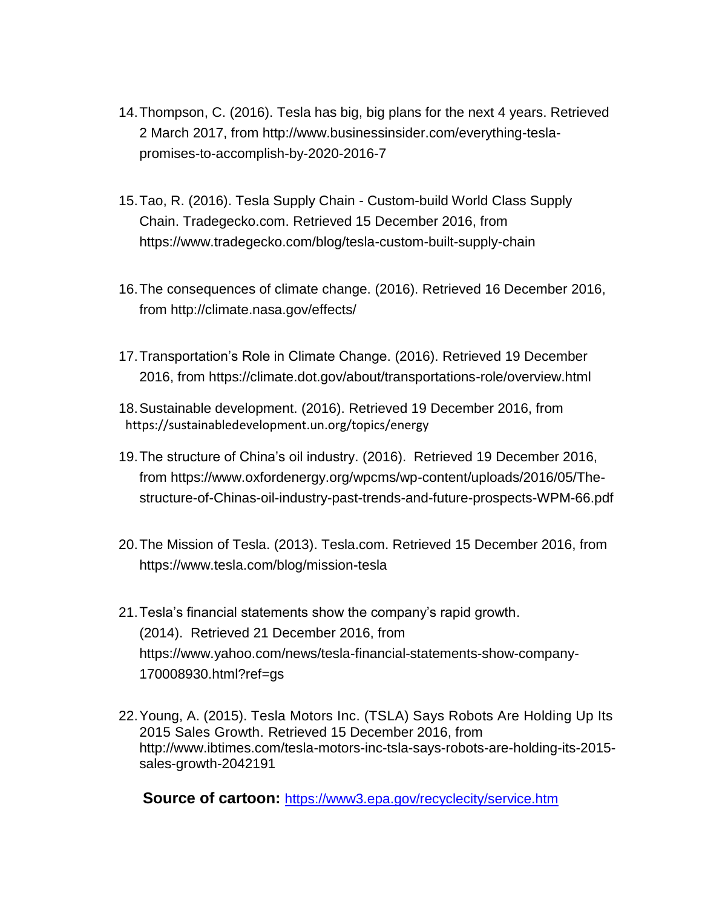- 14[.Thompson,](http://www.businessinsider.com/author/cadie-thompson) C. (2016). Tesla has big, big plans for the next 4 years. Retrieved 2 March 2017, from http://www.businessinsider.com/everything-teslapromises-to-accomplish-by-2020-2016-7
- 15.Tao, R. (2016). Tesla Supply Chain Custom-build World Class Supply Chain. Tradegecko.com. Retrieved 15 December 2016, from https://www.tradegecko.com/blog/tesla-custom-built-supply-chain
- 16.The consequences of climate change. (2016). Retrieved 16 December 2016, from http://climate.nasa.gov/effects/
- 17.Transportation's Role in Climate Change. (2016). Retrieved 19 December 2016, from https://climate.dot.gov/about/transportations-role/overview.html
- [18.Sustainable development. \(2016\). Retrieved 19 December 2016, from](https://sustainabledevelopment.un.org/) https://sustainabledevelopment.un.org/topics/energy
- 19.The structure of China's oil industry. (2016). Retrieved 19 December 2016, from https://www.oxfordenergy.org/wpcms/wp-content/uploads/2016/05/Thestructure-of-Chinas-oil-industry-past-trends-and-future-prospects-WPM-66.pdf
- 20.The Mission of Tesla. (2013). Tesla.com. Retrieved 15 December 2016, from https://www.tesla.com/blog/mission-tesla
- 21.Tesla's financial statements show the company's rapid growth. (2014). Retrieved 21 December 2016, from https://www.yahoo.com/news/tesla-financial-statements-show-company-170008930.html?ref=gs
- 22.Young, A. (2015). Tesla Motors Inc. (TSLA) Says Robots Are Holding Up Its 2015 Sales Growth. Retrieved 15 December 2016, from [http://www.ibtimes.com/tesla-motors-inc-tsla-says-robots-are-holding-its-2015](http://www.ibtimes.com/tesla-motors-inc-tsla-says-robots-are-holding-its-2015-sales-growth-2042191) [sales-growth-2042191](http://www.ibtimes.com/tesla-motors-inc-tsla-says-robots-are-holding-its-2015-sales-growth-2042191)

**Source of cartoon:** <https://www3.epa.gov/recyclecity/service.htm>